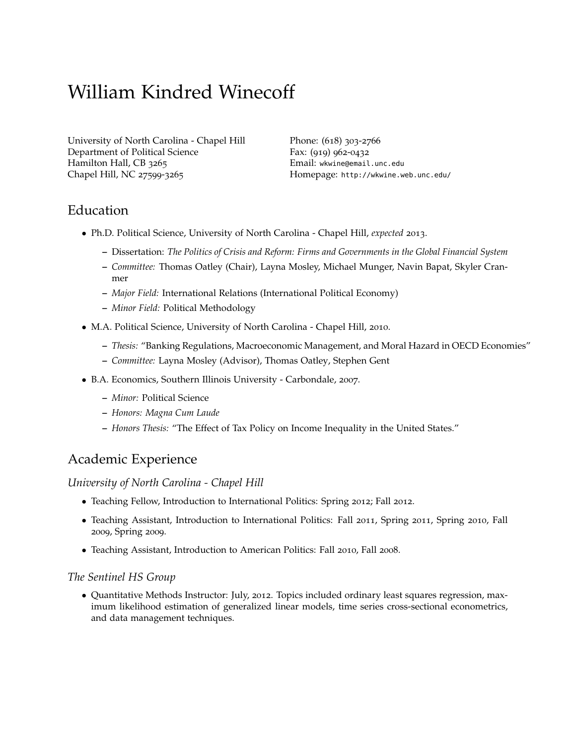# William Kindred Winecoff

[University of North Carolina - Chapel Hill](http://www.unc.edu/) [Department of Political Science](http://www.unc.edu/depts/polisci/) Hamilton Hall, CB 3265 Chapel Hill, NC 27599-3265

Phone: (618) 303-2766 Fax: (919) 962-0432 Email: [wkwine@email.unc.edu](mailto:winecoff@unc.edu) Homepage: <http://wkwine.web.unc.edu/>

# Education

- Ph.D. Political Science, University of North Carolina Chapel Hill, *expected* 2013.
	- **–** Dissertation: *The Politics of Crisis and Reform: Firms and Governments in the Global Financial System*
	- **–** *Committee:* Thomas Oatley (Chair), Layna Mosley, Michael Munger, Navin Bapat, Skyler Cranmer
	- **–** *Major Field:* International Relations (International Political Economy)
	- **–** *Minor Field:* Political Methodology
- M.A. Political Science, University of North Carolina Chapel Hill, 2010.
	- **–** *Thesis:* "Banking Regulations, Macroeconomic Management, and Moral Hazard in OECD Economies"
	- **–** *Committee:* [Layna Mosley](http://www.unc.edu/depts/polisci/faculty_pages/mosley.html) (Advisor), [Thomas Oatley,](http://www.unc.edu/~toatley/) [Stephen Gent](http://www.unc.edu/depts/polisci/faculty_pages/gent.html)
- B.A. Economics, Southern Illinois University Carbondale, 2007.
	- **–** *Minor:* Political Science
	- **–** *Honors: Magna Cum Laude*
	- **–** *Honors Thesis:* "The Effect of Tax Policy on Income Inequality in the United States."

# Academic Experience

*University of North Carolina - Chapel Hill*

- Teaching Fellow, Introduction to International Politics: Spring 2012; Fall 2012.
- Teaching Assistant, Introduction to International Politics: Fall 2011, Spring 2011, Spring 2010, Fall 2009, Spring 2009.
- Teaching Assistant, Introduction to American Politics: Fall 2010, Fall 2008.

#### *The Sentinel HS Group*

• Quantitative Methods Instructor: July, 2012. Topics included ordinary least squares regression, maximum likelihood estimation of generalized linear models, time series cross-sectional econometrics, and data management techniques.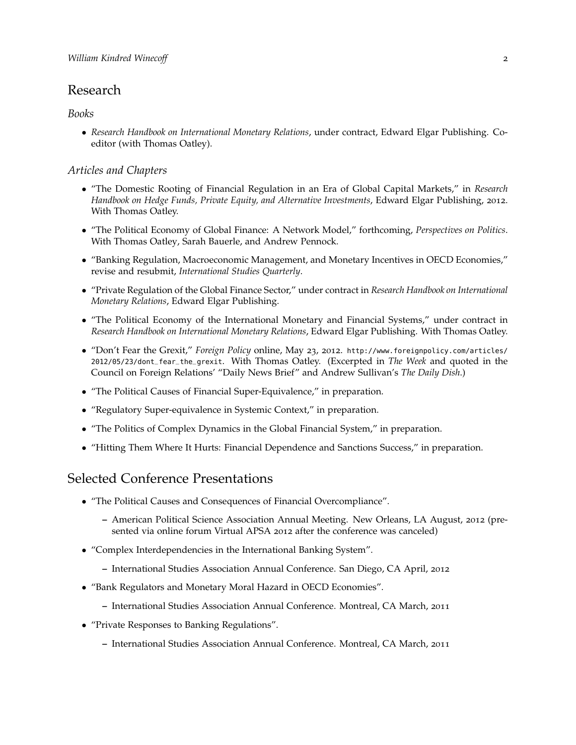## Research

#### *Books*

• *Research Handbook on International Monetary Relations*, under contract, Edward Elgar Publishing. Coeditor (with Thomas Oatley).

#### *Articles and Chapters*

- "The Domestic Rooting of Financial Regulation in an Era of Global Capital Markets," in *Research Handbook on Hedge Funds, Private Equity, and Alternative Investments*, Edward Elgar Publishing, 2012. With Thomas Oatley.
- "The Political Economy of Global Finance: A Network Model," forthcoming, *Perspectives on Politics*. With [Thomas Oatley,](http://www.unc.edu/~toatley/) Sarah Bauerle, and Andrew Pennock.
- "Banking Regulation, Macroeconomic Management, and Monetary Incentives in OECD Economies," revise and resubmit, *International Studies Quarterly*.
- "Private Regulation of the Global Finance Sector," under contract in *Research Handbook on International Monetary Relations*, Edward Elgar Publishing.
- "The Political Economy of the International Monetary and Financial Systems," under contract in *Research Handbook on International Monetary Relations*, Edward Elgar Publishing. With Thomas Oatley.
- "Don't Fear the Grexit," *Foreign Policy* online, May 23, 2012. [http://www.foreignpolicy.com/articles/](http://www.foreignpolicy.com/articles/2012/05/23/dont_fear_the_grexit) [2012/05/23/dont\\_fear\\_the\\_grexit](http://www.foreignpolicy.com/articles/2012/05/23/dont_fear_the_grexit). With Thomas Oatley. (Excerpted in *The Week* and quoted in the Council on Foreign Relations' "Daily News Brief" and Andrew Sullivan's *The Daily Dish*.)
- "The Political Causes of Financial Super-Equivalence," in preparation.
- "Regulatory Super-equivalence in Systemic Context," in preparation.
- "The Politics of Complex Dynamics in the Global Financial System," in preparation.
- "Hitting Them Where It Hurts: Financial Dependence and Sanctions Success," in preparation.

### Selected Conference Presentations

- "The Political Causes and Consequences of Financial Overcompliance".
	- **–** American Political Science Association Annual Meeting. New Orleans, LA August, 2012 (presented via online forum Virtual APSA 2012 after the conference was canceled)
- "Complex Interdependencies in the International Banking System".
	- **–** International Studies Association Annual Conference. San Diego, CA April, 2012
- "Bank Regulators and Monetary Moral Hazard in OECD Economies".
	- **–** International Studies Association Annual Conference. Montreal, CA March, 2011
- "Private Responses to Banking Regulations".
	- **–** International Studies Association Annual Conference. Montreal, CA March, 2011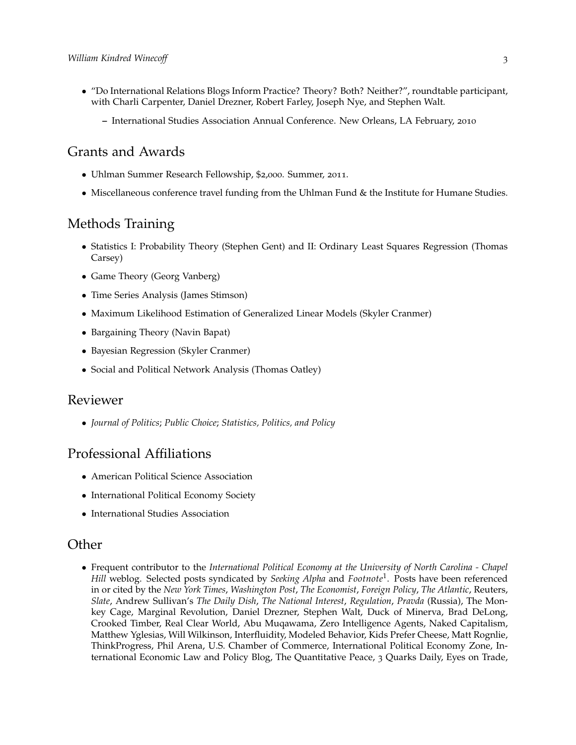- "Do International Relations Blogs Inform Practice? Theory? Both? Neither?", roundtable participant, with Charli Carpenter, Daniel Drezner, Robert Farley, Joseph Nye, and Stephen Walt.
	- **–** International Studies Association Annual Conference. New Orleans, LA February, 2010

## Grants and Awards

- Uhlman Summer Research Fellowship, \$2,000. Summer, 2011.
- Miscellaneous conference travel funding from the Uhlman Fund & the Institute for Humane Studies.

# Methods Training

- Statistics I: Probability Theory (Stephen Gent) and II: Ordinary Least Squares Regression (Thomas Carsey)
- Game Theory (Georg Vanberg)
- Time Series Analysis (James Stimson)
- Maximum Likelihood Estimation of Generalized Linear Models (Skyler Cranmer)
- Bargaining Theory (Navin Bapat)
- Bayesian Regression (Skyler Cranmer)
- Social and Political Network Analysis (Thomas Oatley)

#### Reviewer

• *Journal of Politics*; *Public Choice*; *Statistics, Politics, and Policy*

#### Professional Affiliations

- American Political Science Association
- International Political Economy Society
- International Studies Association

#### **Other**

• Frequent contributor to the *[International Political Economy at the University of North Carolina - Chapel](http://ipeatunc.blogspot.com) [Hill](http://ipeatunc.blogspot.com)* weblog. Selected posts syndicated by *Seeking Alpha* and *Footnote*<sup>1</sup> . Posts have been referenced in or cited by the *New York Times*, *Washington Post*, *The Economist*, *Foreign Policy*, *The Atlantic*, Reuters, *Slate*, Andrew Sullivan's *The Daily Dish*, *The National Interest*, *Regulation*, *Pravda* (Russia), The Monkey Cage, Marginal Revolution, Daniel Drezner, Stephen Walt, Duck of Minerva, Brad DeLong, Crooked Timber, Real Clear World, Abu Muqawama, Zero Intelligence Agents, Naked Capitalism, Matthew Yglesias, Will Wilkinson, Interfluidity, Modeled Behavior, Kids Prefer Cheese, Matt Rognlie, ThinkProgress, Phil Arena, U.S. Chamber of Commerce, International Political Economy Zone, International Economic Law and Policy Blog, The Quantitative Peace, 3 Quarks Daily, Eyes on Trade,